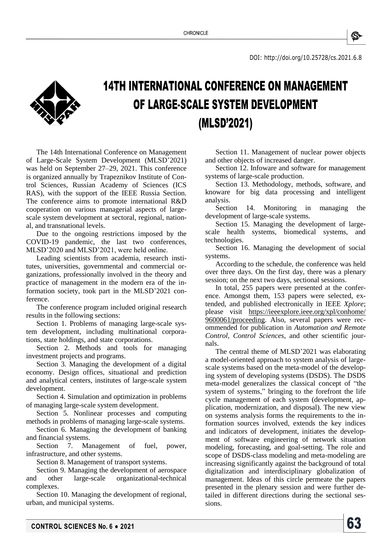DOI:<http://doi.org/10.25728/cs.2021.6.8>



## **14TH INTERNATIONAL CONFERENCE ON MANAGEMENT** OF LARGE-SCALE SYSTEM DEVELOPMENT (MLSD'2021)

The 14th International Conference on Management of Large-Scale System Development (MLSD'2021) was held on September 27–29, 2021. This conference is organized annually by Trapeznikov Institute of Control Sciences, Russian Academy of Sciences (ICS RAS), with the support of the IEEE Russia Section. The conference aims to promote international R&D cooperation on various managerial aspects of largescale system development at sectoral, regional, national, and transnational levels.

Due to the ongoing restrictions imposed by the COVID-19 pandemic, the last two conferences, MLSD'2020 and MLSD'2021, were held online.

Leading scientists from academia, research institutes, universities, governmental and commercial organizations, professionally involved in the theory and practice of management in the modern era of the information society, took part in the MLSD'2021 conference.

The conference program included original research results in the following sections:

Section 1. Problems of managing large-scale system development, including multinational corporations, state holdings, and state corporations.

Section 2. Methods and tools for managing investment projects and programs.

Section 3. Managing the development of a digital economy. Design offices, situational and prediction and analytical centers, institutes of large-scale system development.

Section 4. Simulation and optimization in problems of managing large-scale system development.

Section 5. Nonlinear processes and computing methods in problems of managing large-scale systems.

Section 6. Managing the development of banking and financial systems.

Section 7. Management of fuel, power, infrastructure, and other systems.

Section 8. Management of transport systems.

Section 9. Managing the development of aerospace and other large-scale organizational-technical complexes.

Section 10. Managing the development of regional, urban, and municipal systems.

Section 11. Management of nuclear power objects and other objects of increased danger.

Section 12. Infoware and software for management systems of large-scale production.

Section 13. Methodology, methods, software, and knoware for big data processing and intelligent analysis.

Section 14. Monitoring in managing the development of large-scale systems.

Section 15. Managing the development of largescale health systems, biomedical systems, and technologies.

Section 16. Managing the development of social systems.

According to the schedule, the conference was held over three days. On the first day, there was a plenary session; on the next two days, sectional sessions.

In total, 255 papers were presented at the conference. Amongst them, 153 papers were selected, extended, and published electronically in IEEE *Xplore*; please visit [https://ieeexplore.ieee.org/xpl/conhome/](https://ieeexplore.ieee.org/xpl/conhome/9600061/proceeding) [9600061/proceeding.](https://ieeexplore.ieee.org/xpl/conhome/9600061/proceeding) Also, several papers were recommended for publication in *Automation and Remote Control*, *Control Sciences*, and other scientific journals.

The central theme of MLSD'2021 was elaborating a model-oriented approach to system analysis of largescale systems based on the meta-model of the developing system of developing systems (DSDS). The DSDS meta-model generalizes the classical concept of "the system of systems," bringing to the forefront the life cycle management of each system (development, application, modernization, and disposal). The new view on systems analysis forms the requirements to the information sources involved, extends the key indices and indicators of development, initiates the development of software engineering of network situation modeling, forecasting, and goal-setting. The role and scope of DSDS-class modeling and meta-modeling are increasing significantly against the background of total digitalization and interdisciplinary globalization of management. Ideas of this circle permeate the papers presented in the plenary session and were further detailed in different directions during the sectional sessions.

53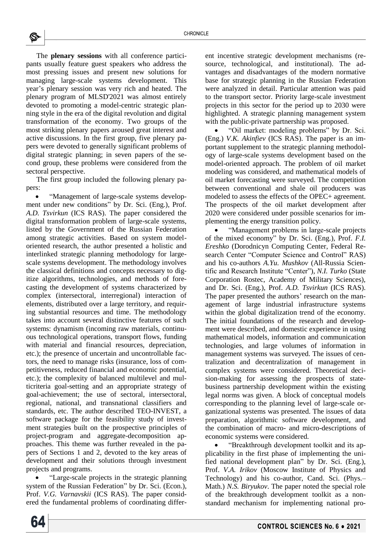The **plenary sessions** with all conference participants usually feature guest speakers who address the most pressing issues and present new solutions for managing large-scale systems development. This year's plenary session was very rich and heated*.* The plenary program of MLSD'2021 was almost entirely devoted to promoting a model-centric strategic planning style in the era of the digital revolution and digital transformation of the economy. Two groups of the most striking plenary papers aroused great interest and active discussions. In the first group, five plenary papers were devoted to generally significant problems of digital strategic planning; in seven papers of the second group, these problems were considered from the sectoral perspective.

The first group included the following plenary papers:

 "Management of large-scale systems development under new conditions" by Dr. Sci. (Eng.), Prof. *A.D. Tsvirkun* (ICS RAS). The paper considered the digital transformation problem of large-scale systems, listed by the Government of the Russian Federation among strategic activities. Based on system modeloriented research, the author presented a holistic and interlinked strategic planning methodology for largescale systems development. The methodology involves the classical definitions and concepts necessary to digitize algorithms, technologies, and methods of forecasting the development of systems characterized by complex (intersectoral, interregional) interaction of elements, distributed over a large territory, and requiring substantial resources and time. The methodology takes into account several distinctive features of such systems: dynamism (incoming raw materials, continuous technological operations, transport flows, funding with material and financial resources, depreciation, etc.); the presence of uncertain and uncontrollable factors, the need to manage risks (insurance, loss of competitiveness, reduced financial and economic potential, etc.); the complexity of balanced multilevel and multicriteria goal-setting and an appropriate strategy of goal-achievement; the use of sectoral, intersectoral, regional, national, and transnational classifiers and standards, etc. The author described TEO-INVEST, a software package for the feasibility study of investment strategies built on the prospective principles of project-program and aggregate-decomposition approaches. This theme was further revealed in the papers of Sections 1 and 2, devoted to the key areas of development and their solutions through investment projects and programs.

 "Large-scale projects in the strategic planning system of the Russian Federation" by Dr. Sci. (Econ.), Prof. *V.G. Varnavskii* (ICS RAS). The paper considered the fundamental problems of coordinating different incentive strategic development mechanisms (resource, technological, and institutional). The advantages and disadvantages of the modern normative base for strategic planning in the Russian Federation were analyzed in detail. Particular attention was paid to the transport sector. Priority large-scale investment projects in this sector for the period up to 2030 were highlighted. A strategic planning management system with the public-private partnership was proposed.

 "Oil market: modeling problems" by Dr. Sci. (Eng.) *V.K. Akinfiev* (ICS RAS). The paper is an important supplement to the strategic planning methodology of large-scale systems development based on the model-oriented approach. The problem of oil market modeling was considered, and mathematical models of oil market forecasting were surveyed. The competition between conventional and shale oil producers was modeled to assess the effects of the OPEC+ agreement. The prospects of the oil market development after 2020 were considered under possible scenarios for implementing the energy transition policy.

 "Management problems in large-scale projects of the mixed economy" by Dr. Sci. (Eng.), Prof. *F.I. Ereshko* (Dorodnicyn Computing Center, Federal Research Center "Computer Science and Control" RAS) and his co-authors *A.Yu. Mushkov* (All-Russia Scientific and Research Institute "Center"), *N.I. Turko* (State Corporation Rostec, Academy of Military Sciences), and Dr. Sci. (Eng.), Prof. *A.D. Tsvirkun* (ICS RAS). The paper presented the authors' research on the management of large industrial infrastructure systems within the global digitalization trend of the economy. The initial foundations of the research and development were described, and domestic experience in using mathematical models, information and communication technologies, and large volumes of information in management systems was surveyed. The issues of centralization and decentralization of management in complex systems were considered. Theoretical decision-making for assessing the prospects of statebusiness partnership development within the existing legal norms was given. A block of conceptual models corresponding to the planning level of large-scale organizational systems was presented. The issues of data preparation, algorithmic software development, and the combination of macro- and micro-descriptions of economic systems were considered.

 "Breakthrough development toolkit and its applicability in the first phase of implementing the unified national development plan" by Dr. Sci. (Eng.), Prof. *V.A. Irikov* (Moscow Institute of Physics and Technology) and his co-author, Cand. Sci. (Phys.– Math.) *N.S. Biryukov*. The paper noted the special role of the breakthrough development toolkit as a nonstandard mechanism for implementing national pro-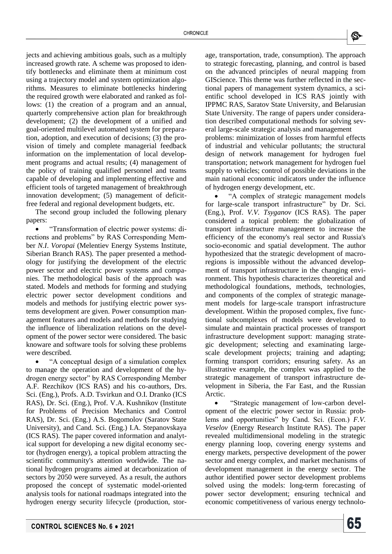

jects and achieving ambitious goals, such as a multiply increased growth rate. A scheme was proposed to identify bottlenecks and eliminate them at minimum cost using a trajectory model and system optimization algorithms. Measures to eliminate bottlenecks hindering the required growth were elaborated and ranked as follows: (1) the creation of a program and an annual, quarterly comprehensive action plan for breakthrough development; (2) the development of a unified and goal-oriented multilevel automated system for preparation, adoption, and execution of decisions; (3) the provision of timely and complete managerial feedback information on the implementation of local development programs and actual results; (4) management of the policy of training qualified personnel and teams capable of developing and implementing effective and efficient tools of targeted management of breakthrough innovation development; (5) management of deficitfree federal and regional development budgets, etc.

The second group included the following plenary papers:

 "Transformation of electric power systems: directions and problems" by RAS Corresponding Member *N.I*. *Voropai* (Melentiev Energy Systems Institute, Siberian Branch RAS)*.* The paper presented a methodology for justifying the development of the electric power sector and electric power systems and companies. The methodological basis of the approach was stated. Models and methods for forming and studying electric power sector development conditions and models and methods for justifying electric power systems development are given. Power consumption management features and models and methods for studying the influence of liberalization relations on the development of the power sector were considered. The basic knoware and software tools for solving these problems were described.

 "A conceptual design of a simulation complex to manage the operation and development of the hydrogen energy sector" by RAS Corresponding Member A.F. Rezchikov (ICS RAS) and his co-authors, Drs. Sci. (Eng.), Profs. A.D. Tsvirkun and O.I. Dranko (ICS RAS), Dr. Sci. (Eng.), Prof. V.A. Kushnikov (Institute for Problems of Precision Mechanics and Control RAS), Dr. Sci. (Eng.) A.S. Bogomolov (Saratov State University), and Cand. Sci. (Eng.) I.A. Stepanovskaya (ICS RAS). The paper covered information and analytical support for developing a new digital economy sector (hydrogen energy), a topical problem attracting the scientific community's attention worldwide. The national hydrogen programs aimed at decarbonization of sectors by 2050 were surveyed. As a result, the authors proposed the concept of systematic model-oriented analysis tools for national roadmaps integrated into the hydrogen energy security lifecycle (production, storage, transportation, trade, consumption). The approach to strategic forecasting, planning, and control is based on the advanced principles of neural mapping from GIScience. This theme was further reflected in the sectional papers of management system dynamics, a scientific school developed in ICS RAS jointly with IPPMC RAS, Saratov State University, and Belarusian State University. The range of papers under consideration described computational methods for solving several large-scale strategic analysis and management problems: minimization of losses from harmful effects of industrial and vehicular pollutants; the structural design of network management for hydrogen fuel transportation; network management for hydrogen fuel supply to vehicles; control of possible deviations in the main national economic indicators under the influence of hydrogen energy development, etc.

 "A complex of strategic management models for large-scale transport infrastructure" by Dr. Sci. (Eng.), Prof. *V.V. Tsyganov* (ICS RAS). The paper considered a topical problem: the globalization of transport infrastructure management to increase the efficiency of the economy's real sector and Russia's socio-economic and spatial development. The author hypothesized that the strategic development of macroregions is impossible without the advanced development of transport infrastructure in the changing environment. This hypothesis characterizes theoretical and methodological foundations, methods, technologies, and components of the complex of strategic management models for large-scale transport infrastructure development. Within the proposed complex, five functional subcomplexes of models were developed to simulate and maintain practical processes of transport infrastructure development support: managing strategic development; selecting and examinating largescale development projects; training and adapting; forming transport corridors; ensuring safety. As an illustrative example, the complex was applied to the strategic management of transport infrastructure development in Siberia, the Far East, and the Russian Arctic.

 "Strategic management of low-carbon development of the electric power sector in Russia: problems and opportunities" by Cand. Sci. (Econ.) *F.V. Veselov* (Energy Research Institute RAS). The paper revealed multidimensional modeling in the strategic energy planning loop, covering energy systems and energy markets, perspective development of the power sector and energy complex, and market mechanisms of development management in the energy sector. The author identified power sector development problems solved using the models: long-term forecasting of power sector development; ensuring technical and economic competitiveness of various energy technolo-

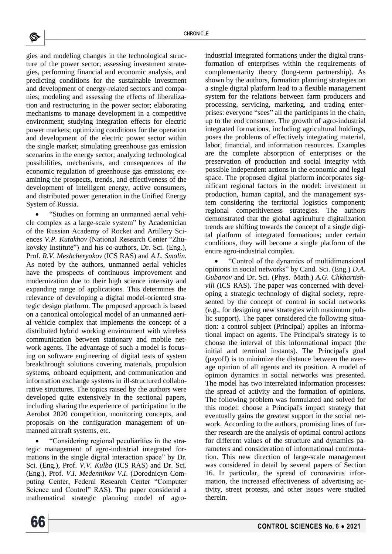gies and modeling changes in the technological structure of the power sector; assessing investment strategies, performing financial and economic analysis, and predicting conditions for the sustainable investment and development of energy-related sectors and companies; modeling and assessing the effects of liberalization and restructuring in the power sector; elaborating mechanisms to manage development in a competitive environment; studying integration effects for electric power markets; optimizing conditions for the operation and development of the electric power sector within the single market; simulating greenhouse gas emission scenarios in the energy sector; analyzing technological possibilities, mechanisms, and consequences of the economic regulation of greenhouse gas emissions; examining the prospects, trends, and effectiveness of the development of intelligent energy, active consumers, and distributed power generation in the Unified Energy System of Russia.

 "Studies on forming an unmanned aerial vehicle complex as a large-scale system" by Academician of the Russian Academy of Rocket and Artillery Sciences *V.P. Kutakhov* (National Research Center "Zhukovsky Institute") and his co-authors, Dr. Sci. (Eng.), Prof. *R.V. Meshcheryakov* (ICS RAS) and *A.L. Smolin.*  As noted by the authors, unmanned aerial vehicles have the prospects of continuous improvement and modernization due to their high science intensity and expanding range of applications. This determines the relevance of developing a digital model-oriented strategic design platform. The proposed approach is based on a canonical ontological model of an unmanned aerial vehicle complex that implements the concept of a distributed hybrid working environment with wireless communication between stationary and mobile network agents. The advantage of such a model is focusing on software engineering of digital tests of system breakthrough solutions covering materials, propulsion systems, onboard equipment, and communication and information exchange systems in ill-structured collaborative structures. The topics raised by the authors were developed quite extensively in the sectional papers, including sharing the experience of participation in the Aerobot 2020 competition, monitoring concepts, and proposals on the configuration management of unmanned aircraft systems, etc.

 "Considering regional peculiarities in the strategic management of agro-industrial integrated formations in the single digital interaction space" by Dr. Sci. (Eng.), Prof. *V.V. Kulba* (ICS RAS) and Dr. Sci. (Eng.), Prof. *V.I. Medennikov V.I*. (Dorodnicyn Computing Center, Federal Research Center "Computer Science and Control" RAS). The paper considered a mathematical strategic planning model of agroindustrial integrated formations under the digital transformation of enterprises within the requirements of complementarity theory (long-term partnership). As shown by the authors, formation planning strategies on a single digital platform lead to a flexible management system for the relations between farm producers and processing, servicing, marketing, and trading enterprises: everyone "sees" all the participants in the chain, up to the end consumer. The growth of agro-industrial integrated formations, including agricultural holdings, poses the problems of effectively integrating material, labor, financial, and information resources. Examples are the complete absorption of enterprises or the preservation of production and social integrity with possible independent actions in the economic and legal space. The proposed digital platform incorporates significant regional factors in the model: investment in production, human capital, and the management system considering the territorial logistics component; regional competitiveness strategies. The authors demonstrated that the global agriculture digitalization trends are shifting towards the concept of a single digital platform of integrated formations; under certain conditions, they will become a single platform of the entire agro-industrial complex.

 "Control of the dynamics of multidimensional opinions in social networks" by Cand. Sci. (Eng.) *D.A. Gubanov* and Dr. Sci. (Phys.–Math.) *A.G. Chkhartishvili* (ICS RAS). The paper was concerned with developing a strategic technology of digital society, represented by the concept of control in social networks (e.g., for designing new strategies with maximum public support). The paper considered the following situation: a control subject (Principal) applies an informational impact on agents. The Principal's strategy is to choose the interval of this informational impact (the initial and terminal instants). The Principal's goal (payoff) is to minimize the distance between the average opinion of all agents and its position. A model of opinion dynamics in social networks was presented. The model has two interrelated information processes: the spread of activity and the formation of opinions. The following problem was formulated and solved for this model: choose a Principal's impact strategy that eventually gains the greatest support in the social network. According to the authors, promising lines of further research are the analysis of optimal control actions for different values of the structure and dynamics parameters and consideration of informational confrontation. This new direction of large-scale management was considered in detail by several papers of Section 16. In particular, the spread of coronavirus information, the increased effectiveness of advertising activity, street protests, and other issues were studied therein.